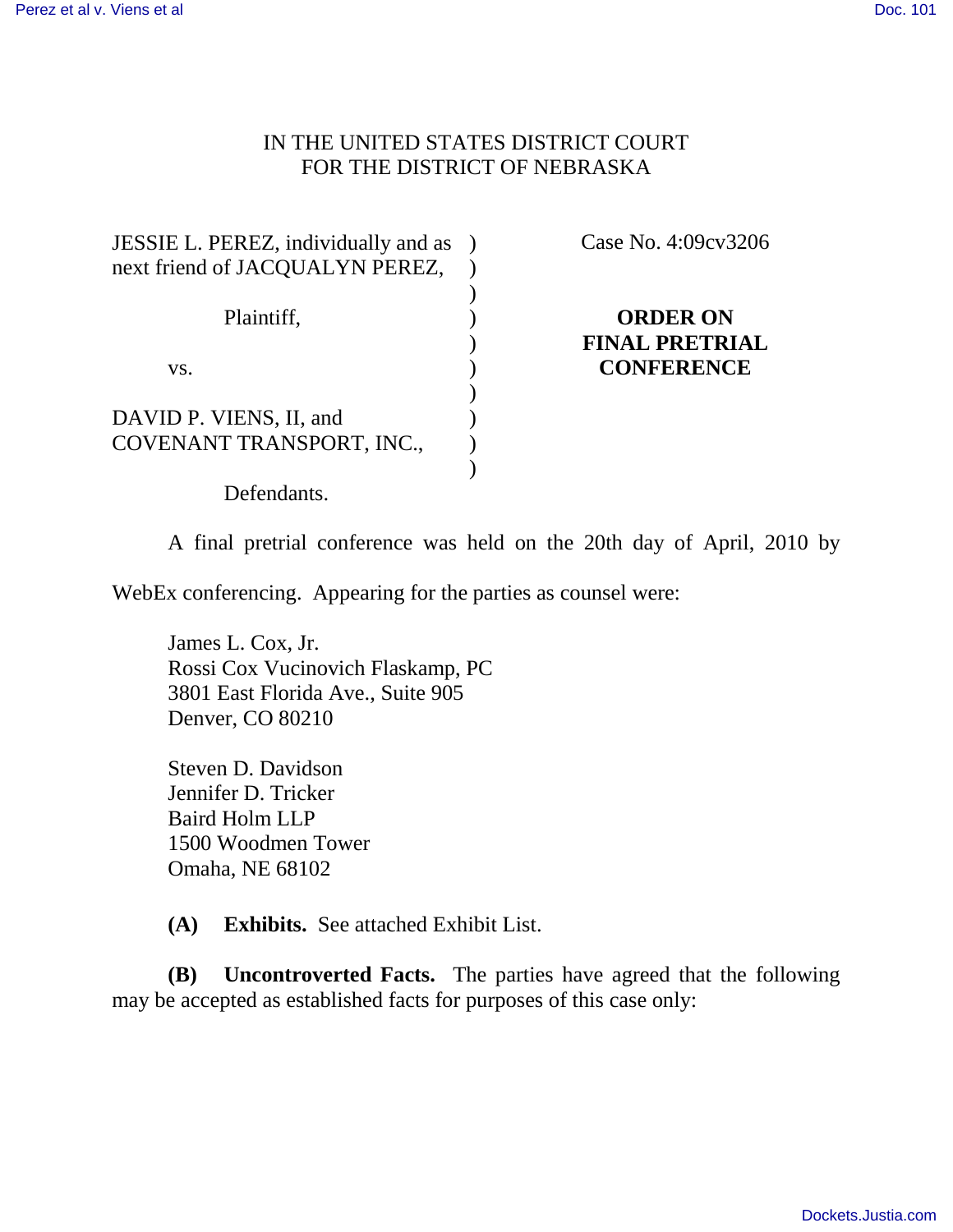## IN THE UNITED STATES DISTRICT COURT FOR THE DISTRICT OF NEBRASKA

| JESSIE L. PEREZ, individually and as<br>next friend of JACQUALYN PEREZ, |  |
|-------------------------------------------------------------------------|--|
| Plaintiff,                                                              |  |
| VS.                                                                     |  |
| DAVID P. VIENS, II, and<br>COVENANT TRANSPORT, INC.,                    |  |
| Defendants.                                                             |  |

Case No. 4:09cv3206

# **ORDER ON FINAL PRETRIAL CONFERENCE**

A final pretrial conference was held on the 20th day of April, 2010 by

WebEx conferencing. Appearing for the parties as counsel were:

James L. Cox, Jr. Rossi Cox Vucinovich Flaskamp, PC 3801 East Florida Ave., Suite 905 Denver, CO 80210

Steven D. Davidson Jennifer D. Tricker Baird Holm LLP 1500 Woodmen Tower Omaha, NE 68102

**(A) Exhibits.** See attached Exhibit List.

**(B) Uncontroverted Facts.** The parties have agreed that the following may be accepted as established facts for purposes of this case only: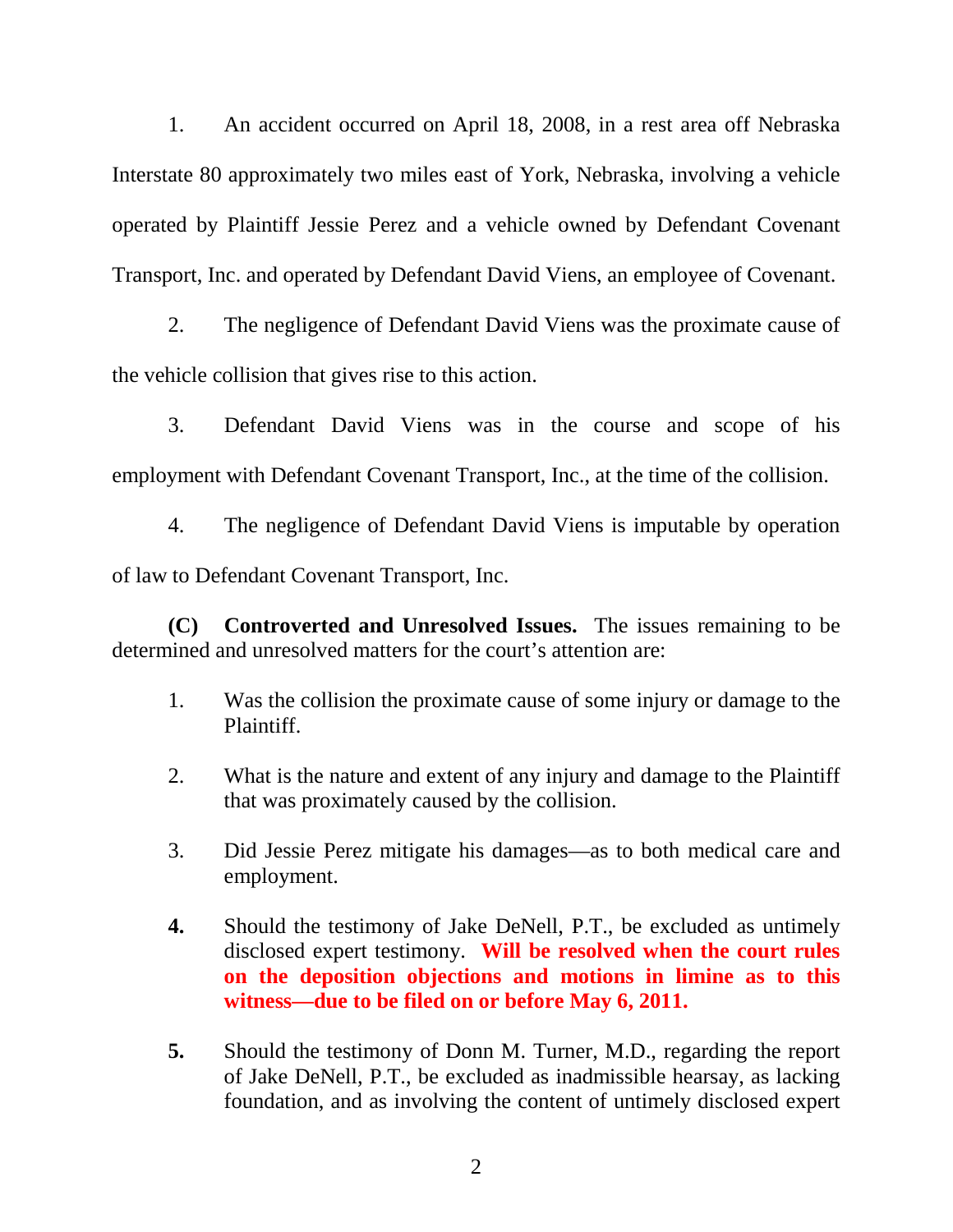1. An accident occurred on April 18, 2008, in a rest area off Nebraska Interstate 80 approximately two miles east of York, Nebraska, involving a vehicle operated by Plaintiff Jessie Perez and a vehicle owned by Defendant Covenant Transport, Inc. and operated by Defendant David Viens, an employee of Covenant.

2. The negligence of Defendant David Viens was the proximate cause of the vehicle collision that gives rise to this action.

3. Defendant David Viens was in the course and scope of his employment with Defendant Covenant Transport, Inc., at the time of the collision.

4. The negligence of Defendant David Viens is imputable by operation of law to Defendant Covenant Transport, Inc.

**(C) Controverted and Unresolved Issues.** The issues remaining to be determined and unresolved matters for the court's attention are:

- 1. Was the collision the proximate cause of some injury or damage to the Plaintiff.
- 2. What is the nature and extent of any injury and damage to the Plaintiff that was proximately caused by the collision.
- 3. Did Jessie Perez mitigate his damages—as to both medical care and employment.
- **4.** Should the testimony of Jake DeNell, P.T., be excluded as untimely disclosed expert testimony. **Will be resolved when the court rules on the deposition objections and motions in limine as to this witness—due to be filed on or before May 6, 2011.**
- **5.** Should the testimony of Donn M. Turner, M.D., regarding the report of Jake DeNell, P.T., be excluded as inadmissible hearsay, as lacking foundation, and as involving the content of untimely disclosed expert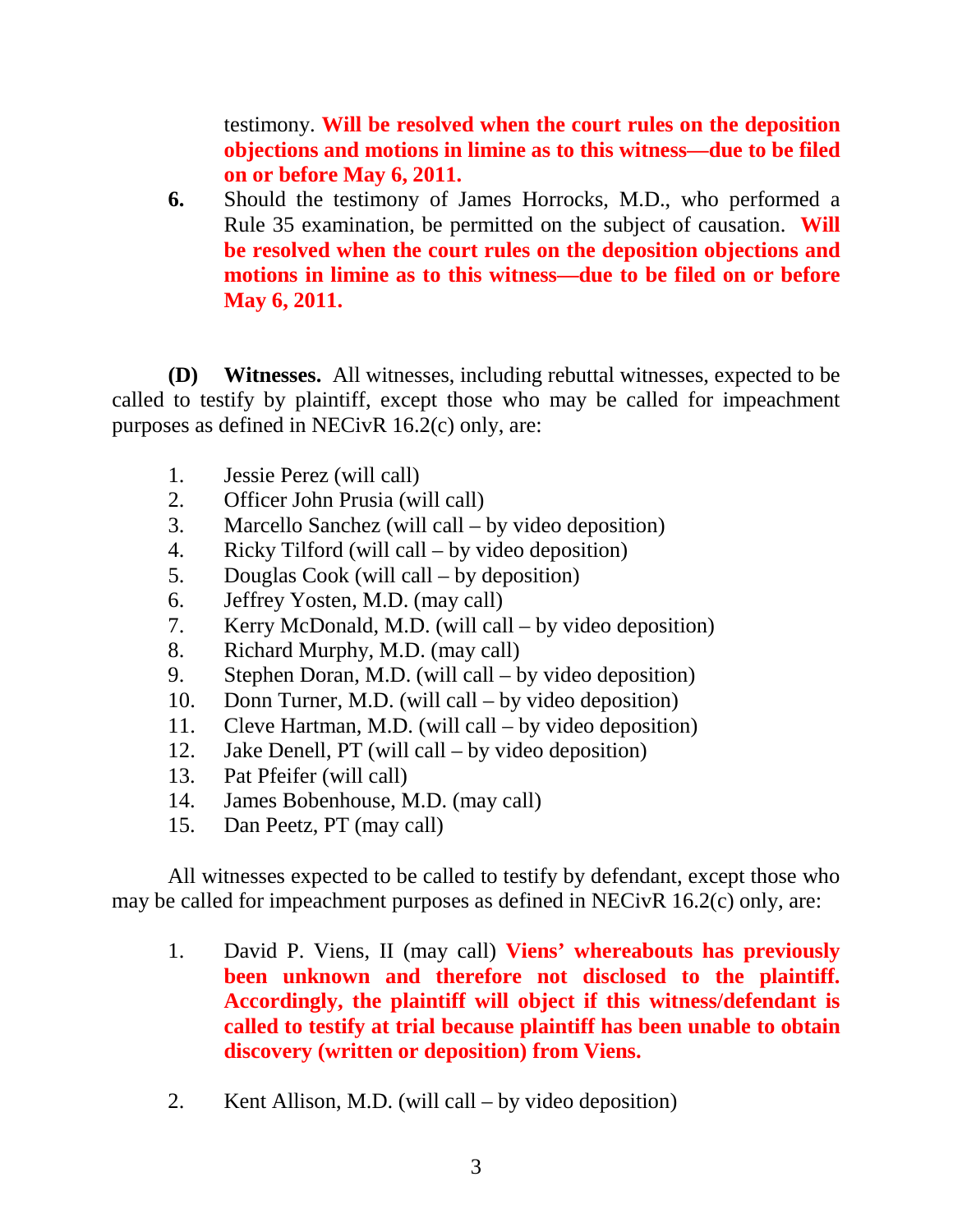testimony. **Will be resolved when the court rules on the deposition objections and motions in limine as to this witness—due to be filed on or before May 6, 2011.**

**6.** Should the testimony of James Horrocks, M.D., who performed a Rule 35 examination, be permitted on the subject of causation. **Will be resolved when the court rules on the deposition objections and motions in limine as to this witness—due to be filed on or before May 6, 2011.**

**(D) Witnesses.** All witnesses, including rebuttal witnesses, expected to be called to testify by plaintiff, except those who may be called for impeachment purposes as defined in NECivR 16.2(c) only, are:

- 1. Jessie Perez (will call)
- 2. Officer John Prusia (will call)
- 3. Marcello Sanchez (will call by video deposition)
- 4. Ricky Tilford (will call by video deposition)
- 5. Douglas Cook (will call by deposition)
- 6. Jeffrey Yosten, M.D. (may call)
- 7. Kerry McDonald, M.D. (will call by video deposition)
- 8. Richard Murphy, M.D. (may call)
- 9. Stephen Doran, M.D. (will call by video deposition)
- 10. Donn Turner, M.D. (will call by video deposition)
- 11. Cleve Hartman, M.D. (will call by video deposition)
- 12. Jake Denell, PT (will call by video deposition)
- 13. Pat Pfeifer (will call)
- 14. James Bobenhouse, M.D. (may call)
- 15. Dan Peetz, PT (may call)

All witnesses expected to be called to testify by defendant, except those who may be called for impeachment purposes as defined in NECivR 16.2(c) only, are:

- 1. David P. Viens, II (may call) **Viens' whereabouts has previously been unknown and therefore not disclosed to the plaintiff. Accordingly, the plaintiff will object if this witness/defendant is called to testify at trial because plaintiff has been unable to obtain discovery (written or deposition) from Viens.**
- 2. Kent Allison, M.D. (will call by video deposition)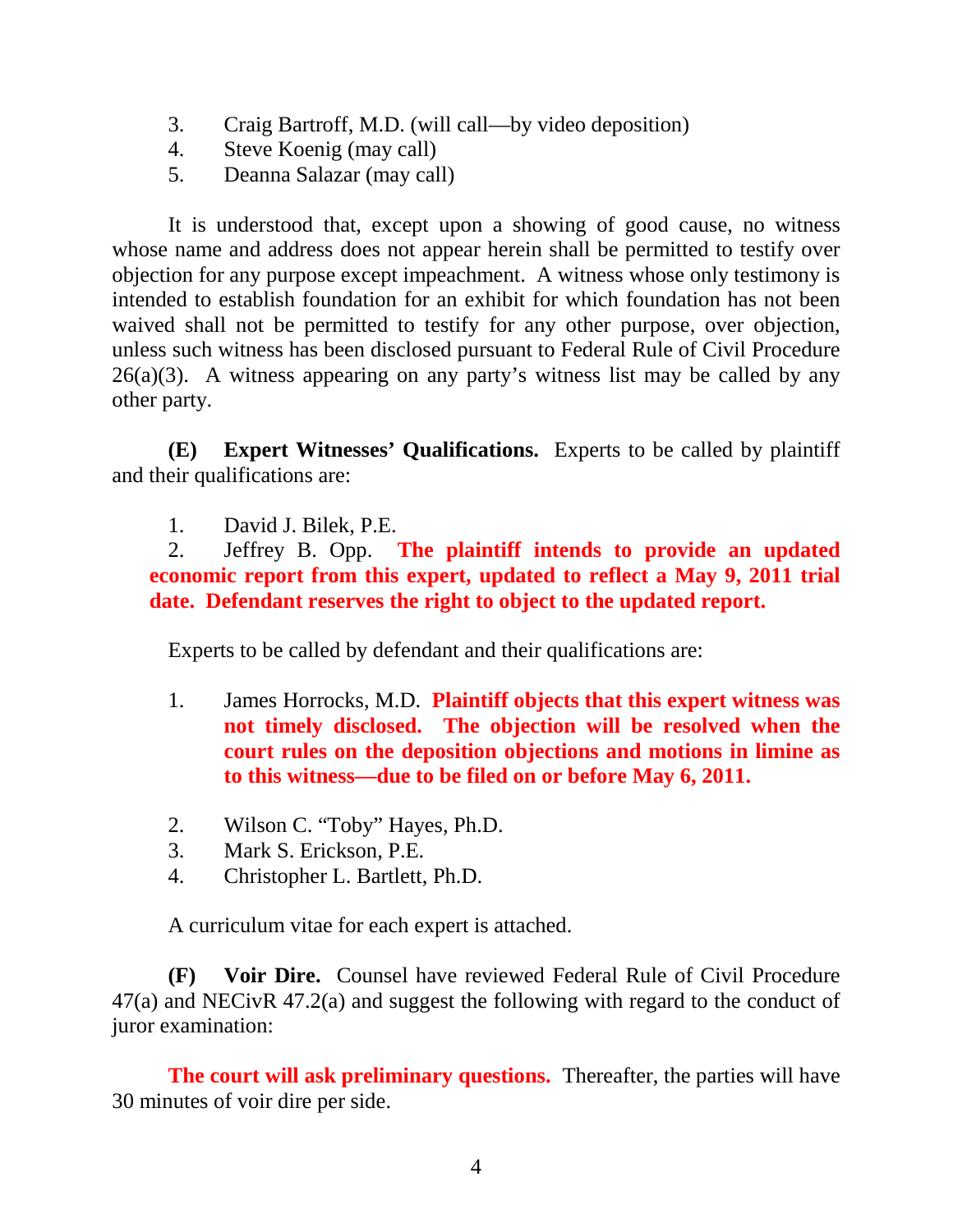- 3. Craig Bartroff, M.D. (will call—by video deposition)
- 4. Steve Koenig (may call)
- 5. Deanna Salazar (may call)

It is understood that, except upon a showing of good cause, no witness whose name and address does not appear herein shall be permitted to testify over objection for any purpose except impeachment. A witness whose only testimony is intended to establish foundation for an exhibit for which foundation has not been waived shall not be permitted to testify for any other purpose, over objection, unless such witness has been disclosed pursuant to Federal Rule of Civil Procedure  $26(a)(3)$ . A witness appearing on any party's witness list may be called by any other party.

**(E) Expert Witnesses' Qualifications.** Experts to be called by plaintiff and their qualifications are:

1. David J. Bilek, P.E.

2. Jeffrey B. Opp. **The plaintiff intends to provide an updated economic report from this expert, updated to reflect a May 9, 2011 trial date. Defendant reserves the right to object to the updated report.**

Experts to be called by defendant and their qualifications are:

- 1. James Horrocks, M.D. **Plaintiff objects that this expert witness was not timely disclosed. The objection will be resolved when the court rules on the deposition objections and motions in limine as to this witness—due to be filed on or before May 6, 2011.**
- 2. Wilson C. "Toby" Hayes, Ph.D.
- 3. Mark S. Erickson, P.E.
- 4. Christopher L. Bartlett, Ph.D.

A curriculum vitae for each expert is attached.

**(F) Voir Dire.** Counsel have reviewed Federal Rule of Civil Procedure 47(a) and NECivR 47.2(a) and suggest the following with regard to the conduct of juror examination:

**The court will ask preliminary questions.** Thereafter, the parties will have 30 minutes of voir dire per side.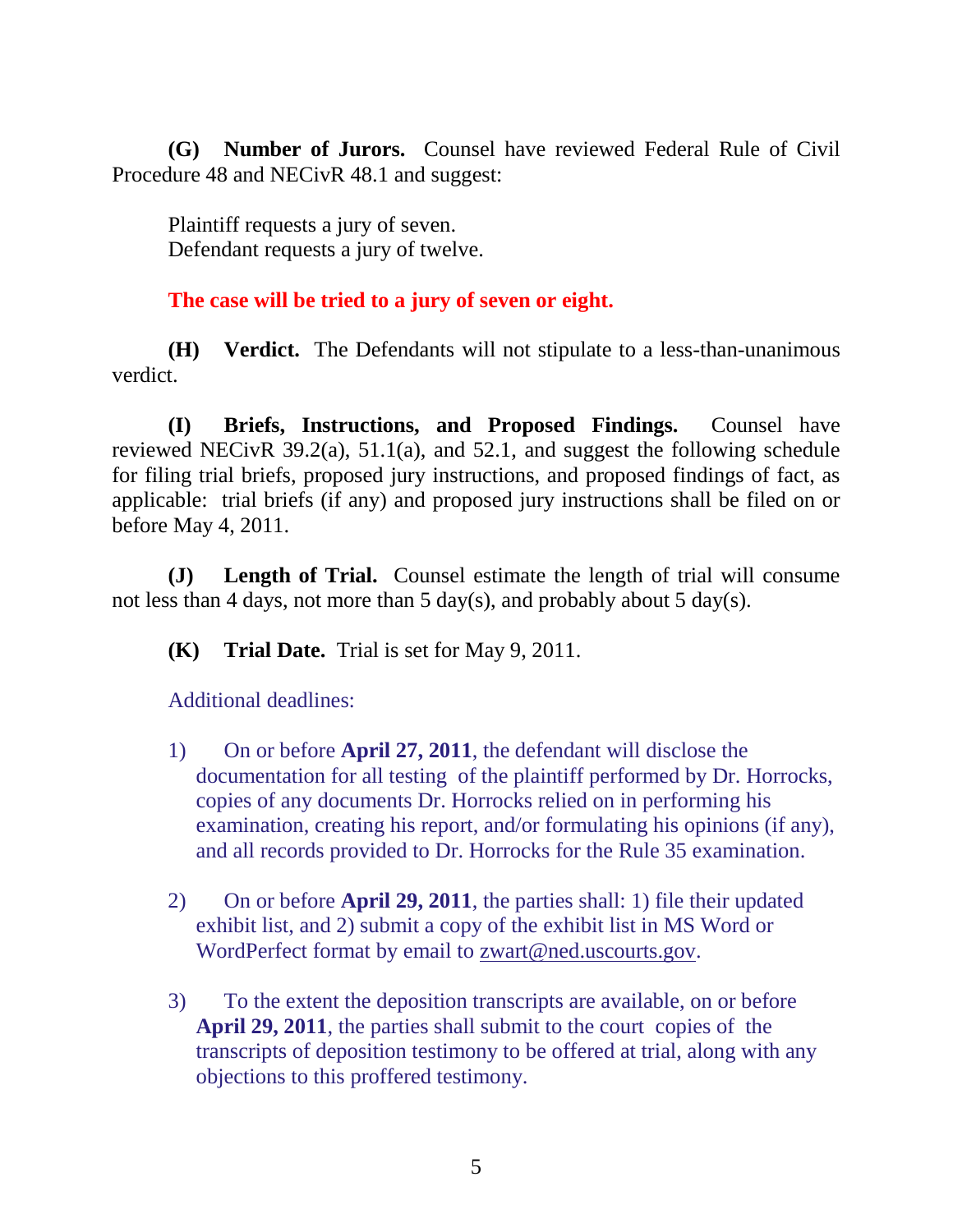**(G) Number of Jurors.** Counsel have reviewed Federal Rule of Civil Procedure 48 and NECivR 48.1 and suggest:

Plaintiff requests a jury of seven. Defendant requests a jury of twelve.

**The case will be tried to a jury of seven or eight.**

**(H) Verdict.** The Defendants will not stipulate to a less-than-unanimous verdict.

**(I) Briefs, Instructions, and Proposed Findings.** Counsel have reviewed NECivR 39.2(a), 51.1(a), and 52.1, and suggest the following schedule for filing trial briefs, proposed jury instructions, and proposed findings of fact, as applicable: trial briefs (if any) and proposed jury instructions shall be filed on or before May 4, 2011.

**(J) Length of Trial.** Counsel estimate the length of trial will consume not less than 4 days, not more than 5 day(s), and probably about 5 day(s).

**(K) Trial Date.** Trial is set for May 9, 2011.

Additional deadlines:

- 1) On or before **April 27, 2011**, the defendant will disclose the documentation for all testing of the plaintiff performed by Dr. Horrocks, copies of any documents Dr. Horrocks relied on in performing his examination, creating his report, and/or formulating his opinions (if any), and all records provided to Dr. Horrocks for the Rule 35 examination.
- 2) On or before **April 29, 2011**, the parties shall: 1) file their updated exhibit list, and 2) submit a copy of the exhibit list in MS Word or WordPerfect format by email to zwart@ned.uscourts.gov.
- 3) To the extent the deposition transcripts are available, on or before **April 29, 2011**, the parties shall submit to the court copies of the transcripts of deposition testimony to be offered at trial, along with any objections to this proffered testimony.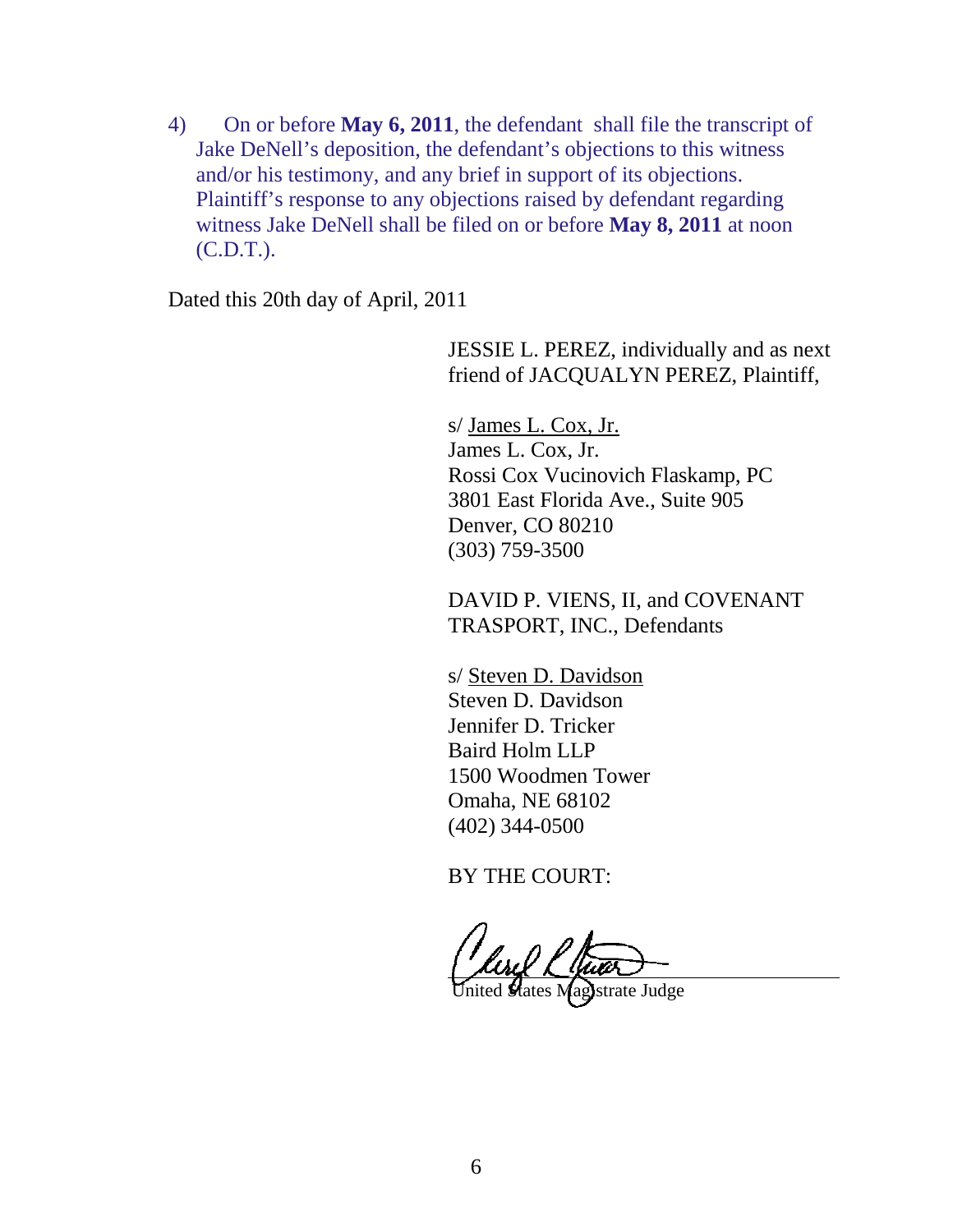4) On or before **May 6, 2011**, the defendant shall file the transcript of Jake DeNell's deposition, the defendant's objections to this witness and/or his testimony, and any brief in support of its objections. Plaintiff's response to any objections raised by defendant regarding witness Jake DeNell shall be filed on or before **May 8, 2011** at noon (C.D.T.).

Dated this 20th day of April, 2011

JESSIE L. PEREZ, individually and as next friend of JACQUALYN PEREZ, Plaintiff,

 s/ James L. Cox, Jr. James L. Cox, Jr. Rossi Cox Vucinovich Flaskamp, PC 3801 East Florida Ave., Suite 905 Denver, CO 80210 (303) 759-3500

DAVID P. VIENS, II, and COVENANT TRASPORT, INC., Defendants

 s/ Steven D. Davidson Steven D. Davidson Jennifer D. Tricker Baird Holm LLP 1500 Woodmen Tower Omaha, NE 68102 (402) 344-0500

BY THE COURT:

United States Magistrate Judge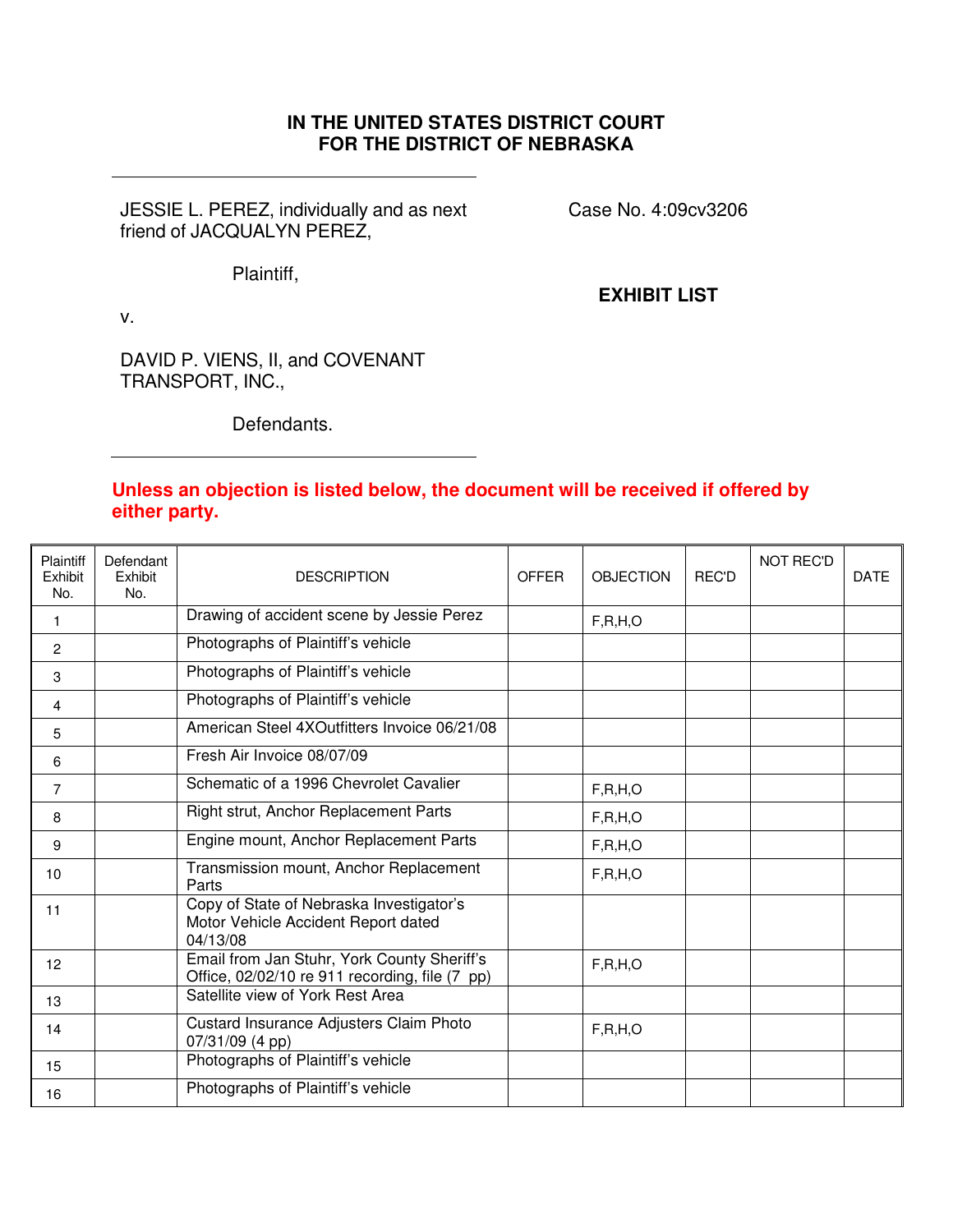### **IN THE UNITED STATES DISTRICT COURT FOR THE DISTRICT OF NEBRASKA**

JESSIE L. PEREZ, individually and as next friend of JACQUALYN PEREZ,

Case No. 4:09cv3206

Plaintiff,

**EXHIBIT LIST**

v.

DAVID P. VIENS, II, and COVENANT TRANSPORT, INC.,

Defendants.

#### **Unless an objection is listed below, the document will be received if offered by either party.**

| Plaintiff<br>Exhibit<br>No. | Defendant<br>Exhibit<br>No. | <b>DESCRIPTION</b>                                                                            | <b>OFFER</b> | <b>OBJECTION</b> | REC'D | <b>NOT REC'D</b> | <b>DATE</b> |
|-----------------------------|-----------------------------|-----------------------------------------------------------------------------------------------|--------------|------------------|-------|------------------|-------------|
| 1                           |                             | Drawing of accident scene by Jessie Perez                                                     |              | F, R, H, O       |       |                  |             |
| $\overline{2}$              |                             | Photographs of Plaintiff's vehicle                                                            |              |                  |       |                  |             |
| 3                           |                             | Photographs of Plaintiff's vehicle                                                            |              |                  |       |                  |             |
| 4                           |                             | Photographs of Plaintiff's vehicle                                                            |              |                  |       |                  |             |
| 5                           |                             | American Steel 4XOutfitters Invoice 06/21/08                                                  |              |                  |       |                  |             |
| 6                           |                             | Fresh Air Invoice 08/07/09                                                                    |              |                  |       |                  |             |
| $\overline{7}$              |                             | Schematic of a 1996 Chevrolet Cavalier                                                        |              | F, R, H, O       |       |                  |             |
| 8                           |                             | Right strut, Anchor Replacement Parts                                                         |              | F, R, H, O       |       |                  |             |
| 9                           |                             | Engine mount, Anchor Replacement Parts                                                        |              | F, R, H, O       |       |                  |             |
| 10                          |                             | Transmission mount, Anchor Replacement<br>Parts                                               |              | F, R, H, O       |       |                  |             |
| 11                          |                             | Copy of State of Nebraska Investigator's<br>Motor Vehicle Accident Report dated<br>04/13/08   |              |                  |       |                  |             |
| 12                          |                             | Email from Jan Stuhr, York County Sheriff's<br>Office, 02/02/10 re 911 recording, file (7 pp) |              | F, R, H, O       |       |                  |             |
| 13                          |                             | Satellite view of York Rest Area                                                              |              |                  |       |                  |             |
| 14                          |                             | Custard Insurance Adjusters Claim Photo<br>07/31/09 (4 pp)                                    |              | F, R, H, O       |       |                  |             |
| 15                          |                             | Photographs of Plaintiff's vehicle                                                            |              |                  |       |                  |             |
| 16                          |                             | Photographs of Plaintiff's vehicle                                                            |              |                  |       |                  |             |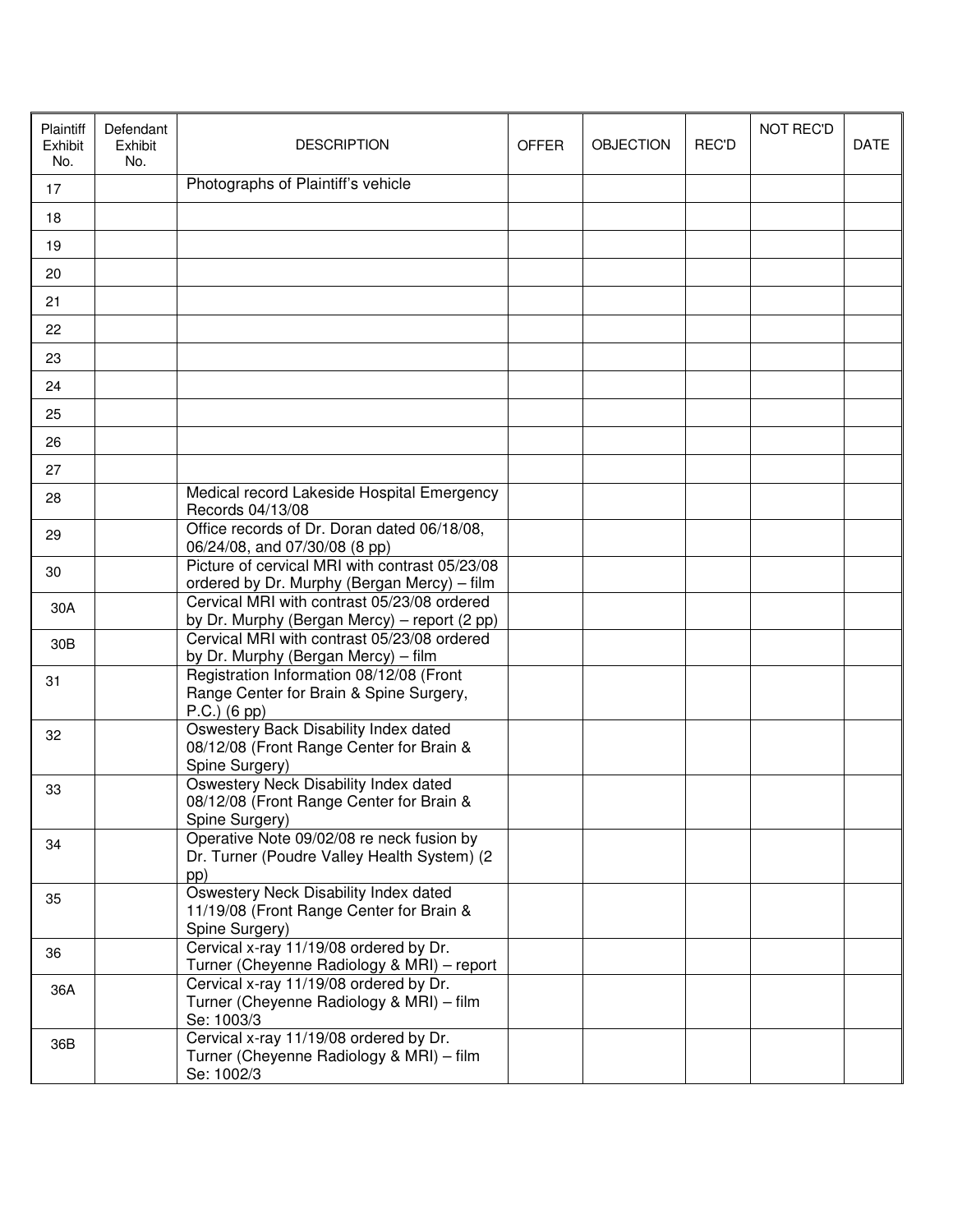| Plaintiff<br>Exhibit<br>No. | Defendant<br>Exhibit<br>No. | <b>DESCRIPTION</b>                                                                                    | <b>OFFER</b> | <b>OBJECTION</b> | REC'D | <b>NOT REC'D</b> | <b>DATE</b> |
|-----------------------------|-----------------------------|-------------------------------------------------------------------------------------------------------|--------------|------------------|-------|------------------|-------------|
| 17                          |                             | Photographs of Plaintiff's vehicle                                                                    |              |                  |       |                  |             |
| 18                          |                             |                                                                                                       |              |                  |       |                  |             |
| 19                          |                             |                                                                                                       |              |                  |       |                  |             |
| 20                          |                             |                                                                                                       |              |                  |       |                  |             |
| 21                          |                             |                                                                                                       |              |                  |       |                  |             |
| 22                          |                             |                                                                                                       |              |                  |       |                  |             |
| 23                          |                             |                                                                                                       |              |                  |       |                  |             |
| 24                          |                             |                                                                                                       |              |                  |       |                  |             |
| 25                          |                             |                                                                                                       |              |                  |       |                  |             |
| 26                          |                             |                                                                                                       |              |                  |       |                  |             |
| 27                          |                             |                                                                                                       |              |                  |       |                  |             |
| 28                          |                             | Medical record Lakeside Hospital Emergency<br>Records 04/13/08                                        |              |                  |       |                  |             |
| 29                          |                             | Office records of Dr. Doran dated 06/18/08,<br>06/24/08, and 07/30/08 (8 pp)                          |              |                  |       |                  |             |
| 30                          |                             | Picture of cervical MRI with contrast 05/23/08<br>ordered by Dr. Murphy (Bergan Mercy) - film         |              |                  |       |                  |             |
| 30A                         |                             | Cervical MRI with contrast 05/23/08 ordered<br>by Dr. Murphy (Bergan Mercy) - report (2 pp)           |              |                  |       |                  |             |
| 30 <sub>B</sub>             |                             | Cervical MRI with contrast 05/23/08 ordered<br>by Dr. Murphy (Bergan Mercy) - film                    |              |                  |       |                  |             |
| 31                          |                             | Registration Information 08/12/08 (Front<br>Range Center for Brain & Spine Surgery,<br>$P.C.)$ (6 pp) |              |                  |       |                  |             |
| 32                          |                             | Oswestery Back Disability Index dated<br>08/12/08 (Front Range Center for Brain &<br>Spine Surgery)   |              |                  |       |                  |             |
| 33                          |                             | Oswestery Neck Disability Index dated<br>08/12/08 (Front Range Center for Brain &<br>Spine Surgery)   |              |                  |       |                  |             |
| 34                          |                             | Operative Note 09/02/08 re neck fusion by<br>Dr. Turner (Poudre Valley Health System) (2<br>pp)       |              |                  |       |                  |             |
| 35                          |                             | Oswestery Neck Disability Index dated<br>11/19/08 (Front Range Center for Brain &<br>Spine Surgery)   |              |                  |       |                  |             |
| 36                          |                             | Cervical x-ray 11/19/08 ordered by Dr.<br>Turner (Cheyenne Radiology & MRI) - report                  |              |                  |       |                  |             |
| 36A                         |                             | Cervical x-ray 11/19/08 ordered by Dr.<br>Turner (Cheyenne Radiology & MRI) - film<br>Se: 1003/3      |              |                  |       |                  |             |
| 36B                         |                             | Cervical x-ray 11/19/08 ordered by Dr.<br>Turner (Cheyenne Radiology & MRI) - film<br>Se: 1002/3      |              |                  |       |                  |             |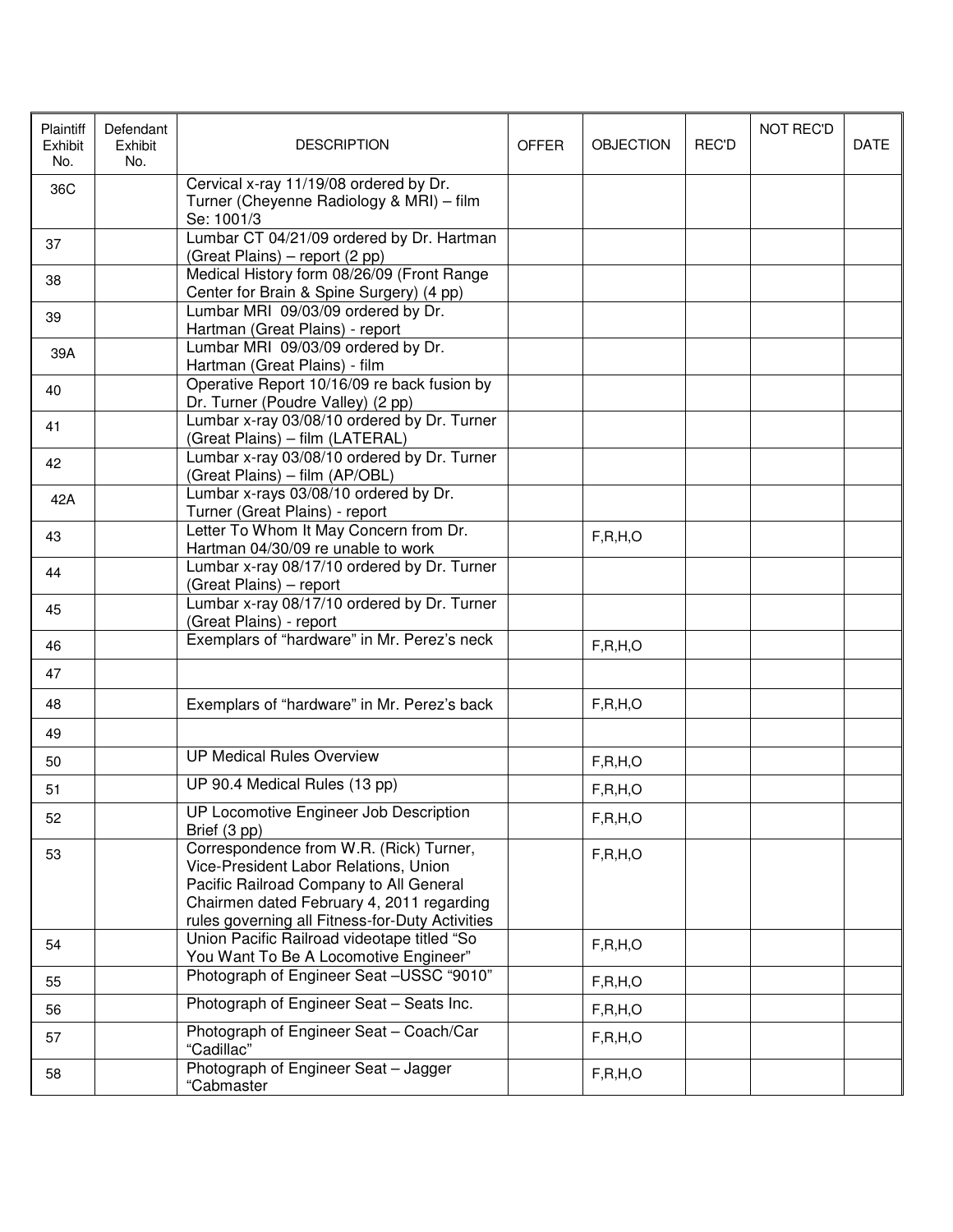| Plaintiff<br>Exhibit<br>No. | Defendant<br>Exhibit<br>No. | <b>DESCRIPTION</b>                                                                                                                                                                                                          | <b>OFFER</b> | <b>OBJECTION</b> | <b>REC'D</b> | <b>NOT REC'D</b> | <b>DATE</b> |
|-----------------------------|-----------------------------|-----------------------------------------------------------------------------------------------------------------------------------------------------------------------------------------------------------------------------|--------------|------------------|--------------|------------------|-------------|
| 36C                         |                             | Cervical x-ray 11/19/08 ordered by Dr.<br>Turner (Cheyenne Radiology & MRI) - film<br>Se: 1001/3                                                                                                                            |              |                  |              |                  |             |
| 37                          |                             | Lumbar CT 04/21/09 ordered by Dr. Hartman<br>(Great Plains) - report (2 pp)                                                                                                                                                 |              |                  |              |                  |             |
| 38                          |                             | Medical History form 08/26/09 (Front Range<br>Center for Brain & Spine Surgery) (4 pp)                                                                                                                                      |              |                  |              |                  |             |
| 39                          |                             | Lumbar MRI 09/03/09 ordered by Dr.<br>Hartman (Great Plains) - report                                                                                                                                                       |              |                  |              |                  |             |
| 39A                         |                             | Lumbar MRI 09/03/09 ordered by Dr.<br>Hartman (Great Plains) - film                                                                                                                                                         |              |                  |              |                  |             |
| 40                          |                             | Operative Report 10/16/09 re back fusion by<br>Dr. Turner (Poudre Valley) (2 pp)                                                                                                                                            |              |                  |              |                  |             |
| 41                          |                             | Lumbar x-ray 03/08/10 ordered by Dr. Turner<br>(Great Plains) - film (LATERAL)                                                                                                                                              |              |                  |              |                  |             |
| 42                          |                             | Lumbar x-ray 03/08/10 ordered by Dr. Turner<br>(Great Plains) - film (AP/OBL)                                                                                                                                               |              |                  |              |                  |             |
| 42A                         |                             | Lumbar x-rays 03/08/10 ordered by Dr.<br>Turner (Great Plains) - report                                                                                                                                                     |              |                  |              |                  |             |
| 43                          |                             | Letter To Whom It May Concern from Dr.<br>Hartman 04/30/09 re unable to work                                                                                                                                                |              | F, R, H, O       |              |                  |             |
| 44                          |                             | Lumbar x-ray 08/17/10 ordered by Dr. Turner<br>(Great Plains) - report                                                                                                                                                      |              |                  |              |                  |             |
| 45                          |                             | Lumbar x-ray 08/17/10 ordered by Dr. Turner<br>(Great Plains) - report                                                                                                                                                      |              |                  |              |                  |             |
| 46                          |                             | Exemplars of "hardware" in Mr. Perez's neck                                                                                                                                                                                 |              | F, R, H, O       |              |                  |             |
| 47                          |                             |                                                                                                                                                                                                                             |              |                  |              |                  |             |
| 48                          |                             | Exemplars of "hardware" in Mr. Perez's back                                                                                                                                                                                 |              | F, R, H, O       |              |                  |             |
| 49                          |                             |                                                                                                                                                                                                                             |              |                  |              |                  |             |
| 50                          |                             | <b>UP Medical Rules Overview</b>                                                                                                                                                                                            |              | F, R, H, O       |              |                  |             |
| 51                          |                             | UP 90.4 Medical Rules (13 pp)                                                                                                                                                                                               |              | F, R, H, O       |              |                  |             |
| 52                          |                             | UP Locomotive Engineer Job Description<br>Brief (3 pp)                                                                                                                                                                      |              | F, R, H, O       |              |                  |             |
| 53                          |                             | Correspondence from W.R. (Rick) Turner,<br>Vice-President Labor Relations, Union<br>Pacific Railroad Company to All General<br>Chairmen dated February 4, 2011 regarding<br>rules governing all Fitness-for-Duty Activities |              | F, R, H, O       |              |                  |             |
| 54                          |                             | Union Pacific Railroad videotape titled "So<br>You Want To Be A Locomotive Engineer"                                                                                                                                        |              | F, R, H, O       |              |                  |             |
| 55                          |                             | Photograph of Engineer Seat -USSC "9010"                                                                                                                                                                                    |              | F, R, H, O       |              |                  |             |
| 56                          |                             | Photograph of Engineer Seat - Seats Inc.                                                                                                                                                                                    |              | F, R, H, O       |              |                  |             |
| 57                          |                             | Photograph of Engineer Seat - Coach/Car<br>"Cadillac"                                                                                                                                                                       |              | F, R, H, O       |              |                  |             |
| 58                          |                             | Photograph of Engineer Seat - Jagger<br>"Cabmaster                                                                                                                                                                          |              | F, R, H, O       |              |                  |             |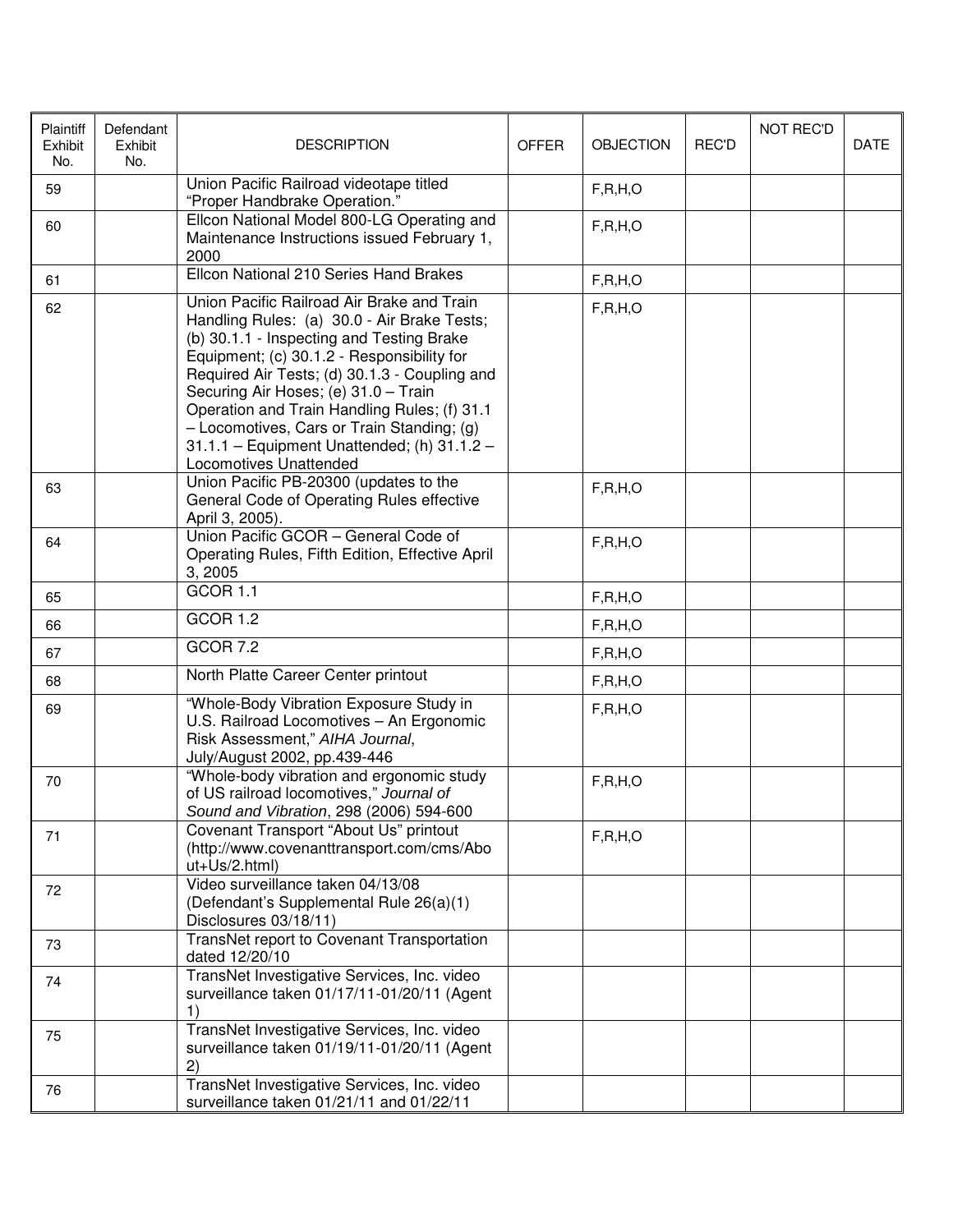| Plaintiff<br>Exhibit<br>No. | Defendant<br>Exhibit<br>No. | <b>DESCRIPTION</b>                                                                                                                                                                                                                                                                                                                                                                                                                                   | <b>OFFER</b> | <b>OBJECTION</b> | REC'D | <b>NOT REC'D</b> | <b>DATE</b> |
|-----------------------------|-----------------------------|------------------------------------------------------------------------------------------------------------------------------------------------------------------------------------------------------------------------------------------------------------------------------------------------------------------------------------------------------------------------------------------------------------------------------------------------------|--------------|------------------|-------|------------------|-------------|
| 59                          |                             | Union Pacific Railroad videotape titled<br>"Proper Handbrake Operation."                                                                                                                                                                                                                                                                                                                                                                             |              | F, R, H, O       |       |                  |             |
| 60                          |                             | Ellcon National Model 800-LG Operating and<br>Maintenance Instructions issued February 1,<br>2000                                                                                                                                                                                                                                                                                                                                                    |              | F, R, H, O       |       |                  |             |
| 61                          |                             | Ellcon National 210 Series Hand Brakes                                                                                                                                                                                                                                                                                                                                                                                                               |              | F, R, H, O       |       |                  |             |
| 62                          |                             | Union Pacific Railroad Air Brake and Train<br>Handling Rules: (a) 30.0 - Air Brake Tests;<br>(b) 30.1.1 - Inspecting and Testing Brake<br>Equipment; (c) 30.1.2 - Responsibility for<br>Required Air Tests; (d) 30.1.3 - Coupling and<br>Securing Air Hoses; (e) 31.0 - Train<br>Operation and Train Handling Rules; (f) 31.1<br>- Locomotives, Cars or Train Standing; (g)<br>31.1.1 - Equipment Unattended; (h) 31.1.2 -<br>Locomotives Unattended |              | F, R, H, O       |       |                  |             |
| 63                          |                             | Union Pacific PB-20300 (updates to the<br>General Code of Operating Rules effective<br>April 3, 2005).                                                                                                                                                                                                                                                                                                                                               |              | F, R, H, O       |       |                  |             |
| 64                          |                             | Union Pacific GCOR - General Code of<br>Operating Rules, Fifth Edition, Effective April<br>3, 2005                                                                                                                                                                                                                                                                                                                                                   |              | F, R, H, O       |       |                  |             |
| 65                          |                             | <b>GCOR 1.1</b>                                                                                                                                                                                                                                                                                                                                                                                                                                      |              | F, R, H, O       |       |                  |             |
| 66                          |                             | <b>GCOR 1.2</b>                                                                                                                                                                                                                                                                                                                                                                                                                                      |              | F, R, H, O       |       |                  |             |
| 67                          |                             | <b>GCOR 7.2</b>                                                                                                                                                                                                                                                                                                                                                                                                                                      |              | F, R, H, O       |       |                  |             |
| 68                          |                             | North Platte Career Center printout                                                                                                                                                                                                                                                                                                                                                                                                                  |              | F, R, H, O       |       |                  |             |
| 69                          |                             | "Whole-Body Vibration Exposure Study in<br>U.S. Railroad Locomotives - An Ergonomic<br>Risk Assessment," AIHA Journal,<br>July/August 2002, pp.439-446                                                                                                                                                                                                                                                                                               |              | F, R, H, O       |       |                  |             |
| 70                          |                             | "Whole-body vibration and ergonomic study<br>of US railroad locomotives," Journal of<br>Sound and Vibration, 298 (2006) 594-600                                                                                                                                                                                                                                                                                                                      |              | F, R, H, O       |       |                  |             |
| 71                          |                             | Covenant Transport "About Us" printout<br>(http://www.covenanttransport.com/cms/Abo<br>ut+Us/2.html)                                                                                                                                                                                                                                                                                                                                                 |              | F, R, H, O       |       |                  |             |
| 72                          |                             | Video surveillance taken 04/13/08<br>(Defendant's Supplemental Rule 26(a)(1)<br>Disclosures 03/18/11)                                                                                                                                                                                                                                                                                                                                                |              |                  |       |                  |             |
| 73                          |                             | TransNet report to Covenant Transportation<br>dated 12/20/10                                                                                                                                                                                                                                                                                                                                                                                         |              |                  |       |                  |             |
| 74                          |                             | TransNet Investigative Services, Inc. video<br>surveillance taken 01/17/11-01/20/11 (Agent<br>1)                                                                                                                                                                                                                                                                                                                                                     |              |                  |       |                  |             |
| 75                          |                             | TransNet Investigative Services, Inc. video<br>surveillance taken 01/19/11-01/20/11 (Agent<br>2)                                                                                                                                                                                                                                                                                                                                                     |              |                  |       |                  |             |
| 76                          |                             | TransNet Investigative Services, Inc. video<br>surveillance taken 01/21/11 and 01/22/11                                                                                                                                                                                                                                                                                                                                                              |              |                  |       |                  |             |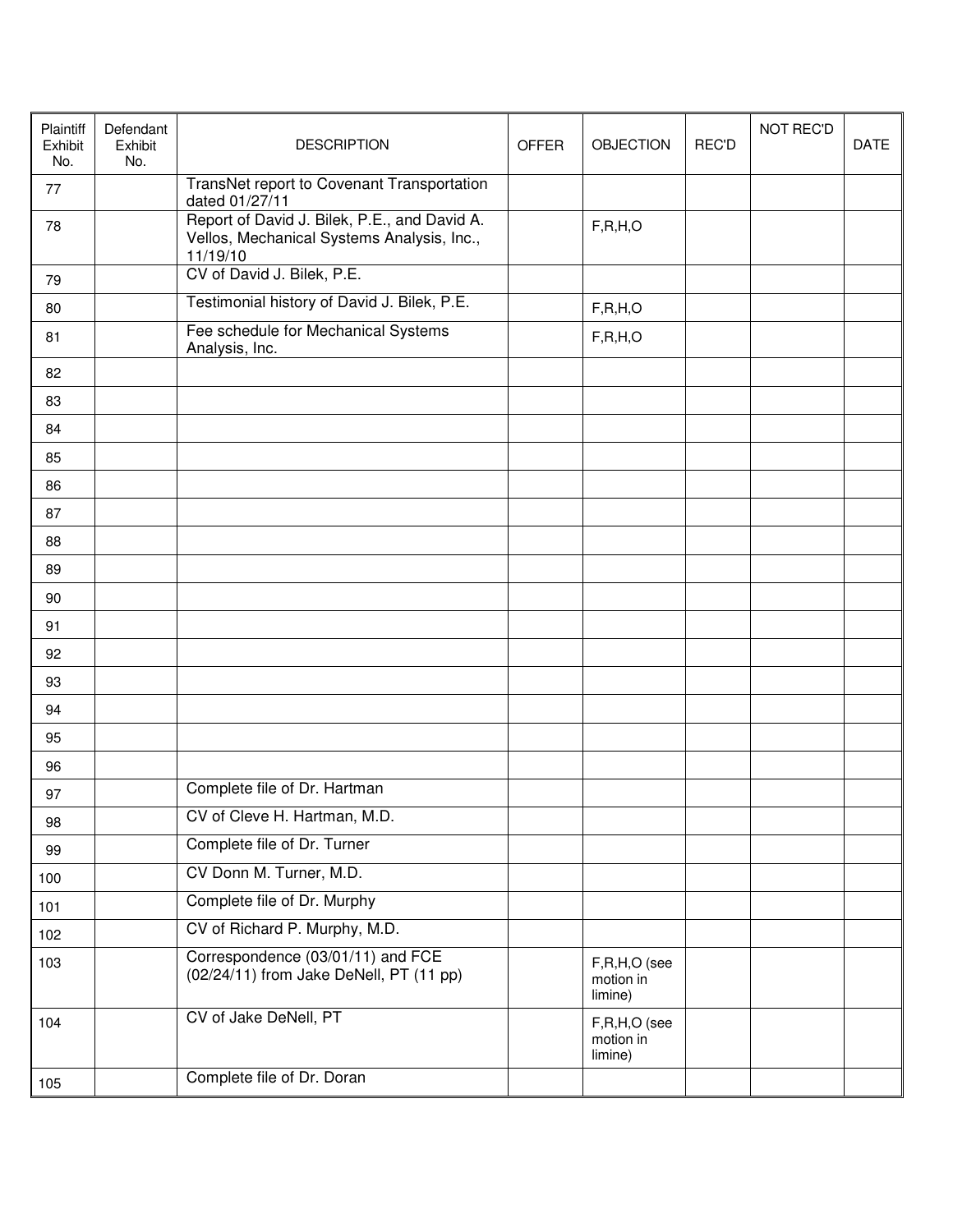| Plaintiff<br>Exhibit<br>No. | Defendant<br>Exhibit<br>No. | <b>DESCRIPTION</b>                                                                                     | <b>OFFER</b> | <b>OBJECTION</b>                     | <b>REC'D</b> | <b>NOT REC'D</b> | <b>DATE</b> |
|-----------------------------|-----------------------------|--------------------------------------------------------------------------------------------------------|--------------|--------------------------------------|--------------|------------------|-------------|
| 77                          |                             | TransNet report to Covenant Transportation<br>dated 01/27/11                                           |              |                                      |              |                  |             |
| 78                          |                             | Report of David J. Bilek, P.E., and David A.<br>Vellos, Mechanical Systems Analysis, Inc.,<br>11/19/10 |              | F, R, H, O                           |              |                  |             |
| 79                          |                             | CV of David J. Bilek, P.E.                                                                             |              |                                      |              |                  |             |
| 80                          |                             | Testimonial history of David J. Bilek, P.E.                                                            |              | F, R, H, O                           |              |                  |             |
| 81                          |                             | Fee schedule for Mechanical Systems<br>Analysis, Inc.                                                  |              | F, R, H, O                           |              |                  |             |
| 82                          |                             |                                                                                                        |              |                                      |              |                  |             |
| 83                          |                             |                                                                                                        |              |                                      |              |                  |             |
| 84                          |                             |                                                                                                        |              |                                      |              |                  |             |
| 85                          |                             |                                                                                                        |              |                                      |              |                  |             |
| 86                          |                             |                                                                                                        |              |                                      |              |                  |             |
| 87                          |                             |                                                                                                        |              |                                      |              |                  |             |
| 88                          |                             |                                                                                                        |              |                                      |              |                  |             |
| 89                          |                             |                                                                                                        |              |                                      |              |                  |             |
| 90                          |                             |                                                                                                        |              |                                      |              |                  |             |
| 91                          |                             |                                                                                                        |              |                                      |              |                  |             |
| 92                          |                             |                                                                                                        |              |                                      |              |                  |             |
| 93                          |                             |                                                                                                        |              |                                      |              |                  |             |
| 94                          |                             |                                                                                                        |              |                                      |              |                  |             |
| 95                          |                             |                                                                                                        |              |                                      |              |                  |             |
| 96                          |                             |                                                                                                        |              |                                      |              |                  |             |
| 97                          |                             | Complete file of Dr. Hartman                                                                           |              |                                      |              |                  |             |
| 98                          |                             | CV of Cleve H. Hartman, M.D.                                                                           |              |                                      |              |                  |             |
| 99                          |                             | Complete file of Dr. Turner                                                                            |              |                                      |              |                  |             |
| 100                         |                             | CV Donn M. Turner, M.D.                                                                                |              |                                      |              |                  |             |
| 101                         |                             | Complete file of Dr. Murphy                                                                            |              |                                      |              |                  |             |
| 102                         |                             | CV of Richard P. Murphy, M.D.                                                                          |              |                                      |              |                  |             |
| 103                         |                             | Correspondence (03/01/11) and FCE<br>(02/24/11) from Jake DeNell, PT (11 pp)                           |              | F,R,H,O (see<br>motion in<br>limine) |              |                  |             |
| 104                         |                             | CV of Jake DeNell, PT                                                                                  |              | F,R,H,O (see<br>motion in<br>limine) |              |                  |             |
| 105                         |                             | Complete file of Dr. Doran                                                                             |              |                                      |              |                  |             |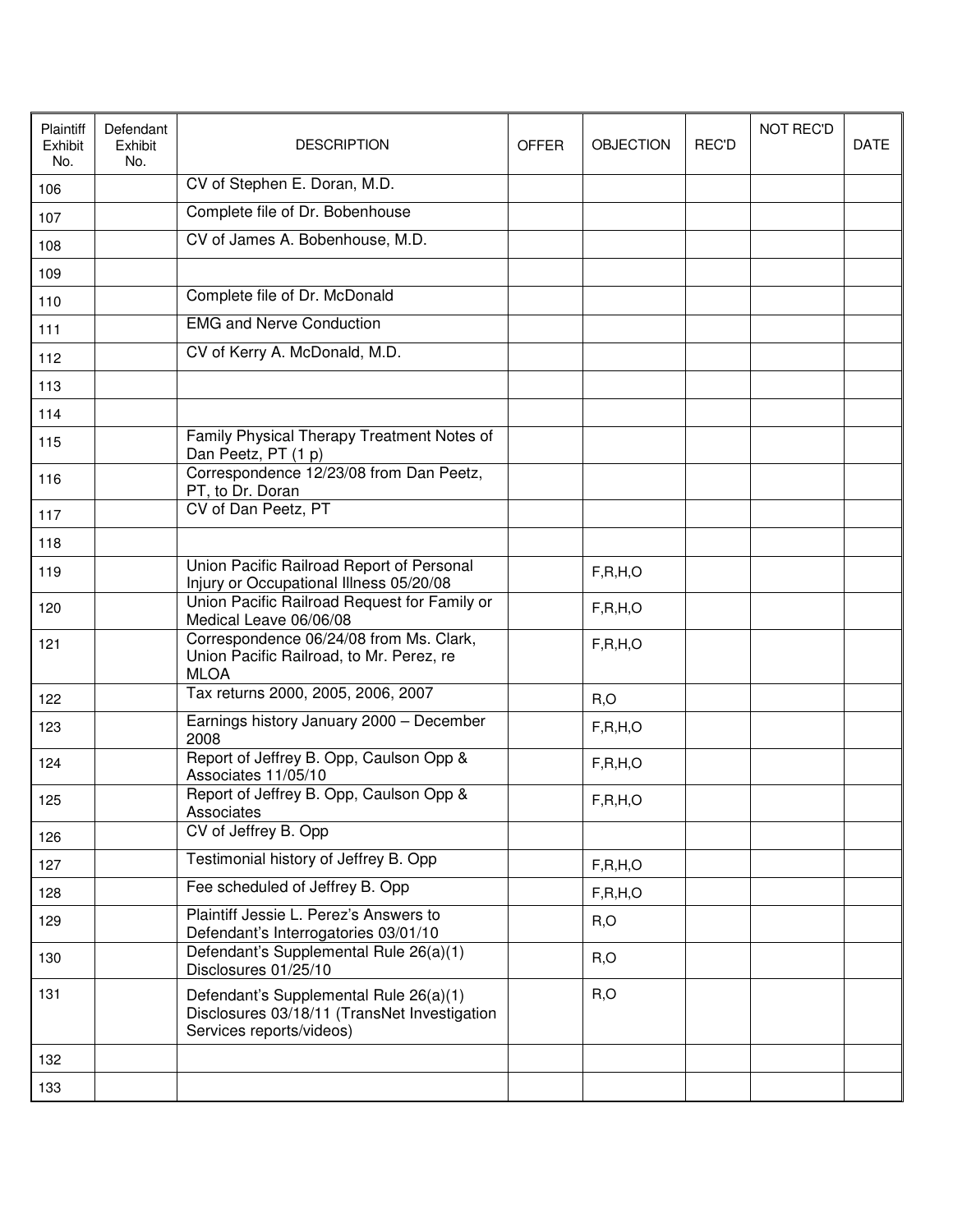| Plaintiff<br>Exhibit<br>No. | Defendant<br>Exhibit<br>No. | <b>DESCRIPTION</b>                                                                                                 | <b>OFFER</b> | <b>OBJECTION</b> | <b>REC'D</b> | <b>NOT REC'D</b> | <b>DATE</b> |
|-----------------------------|-----------------------------|--------------------------------------------------------------------------------------------------------------------|--------------|------------------|--------------|------------------|-------------|
| 106                         |                             | CV of Stephen E. Doran, M.D.                                                                                       |              |                  |              |                  |             |
| 107                         |                             | Complete file of Dr. Bobenhouse                                                                                    |              |                  |              |                  |             |
| 108                         |                             | CV of James A. Bobenhouse, M.D.                                                                                    |              |                  |              |                  |             |
| 109                         |                             |                                                                                                                    |              |                  |              |                  |             |
| 110                         |                             | Complete file of Dr. McDonald                                                                                      |              |                  |              |                  |             |
| 111                         |                             | <b>EMG and Nerve Conduction</b>                                                                                    |              |                  |              |                  |             |
| 112                         |                             | CV of Kerry A. McDonald, M.D.                                                                                      |              |                  |              |                  |             |
| 113                         |                             |                                                                                                                    |              |                  |              |                  |             |
| 114                         |                             |                                                                                                                    |              |                  |              |                  |             |
| 115                         |                             | Family Physical Therapy Treatment Notes of<br>Dan Peetz, PT (1 p)                                                  |              |                  |              |                  |             |
| 116                         |                             | Correspondence 12/23/08 from Dan Peetz,<br>PT, to Dr. Doran                                                        |              |                  |              |                  |             |
| 117                         |                             | CV of Dan Peetz, PT                                                                                                |              |                  |              |                  |             |
| 118                         |                             |                                                                                                                    |              |                  |              |                  |             |
| 119                         |                             | Union Pacific Railroad Report of Personal<br>Injury or Occupational Illness 05/20/08                               |              | F, R, H, O       |              |                  |             |
| 120                         |                             | Union Pacific Railroad Request for Family or<br>Medical Leave 06/06/08                                             |              | F, R, H, O       |              |                  |             |
| 121                         |                             | Correspondence 06/24/08 from Ms. Clark,<br>Union Pacific Railroad, to Mr. Perez, re<br><b>MLOA</b>                 |              | F, R, H, O       |              |                  |             |
| 122                         |                             | Tax returns 2000, 2005, 2006, 2007                                                                                 |              | R, O             |              |                  |             |
| 123                         |                             | Earnings history January 2000 - December<br>2008                                                                   |              | F, R, H, O       |              |                  |             |
| 124                         |                             | Report of Jeffrey B. Opp, Caulson Opp &<br>Associates 11/05/10                                                     |              | F, R, H, O       |              |                  |             |
| 125                         |                             | Report of Jeffrey B. Opp, Caulson Opp &<br>Associates                                                              |              | F, R, H, O       |              |                  |             |
| 126                         |                             | CV of Jeffrey B. Opp                                                                                               |              |                  |              |                  |             |
| 127                         |                             | Testimonial history of Jeffrey B. Opp                                                                              |              | F, R, H, O       |              |                  |             |
| 128                         |                             | Fee scheduled of Jeffrey B. Opp                                                                                    |              | F, R, H, O       |              |                  |             |
| 129                         |                             | Plaintiff Jessie L. Perez's Answers to<br>Defendant's Interrogatories 03/01/10                                     |              | R, O             |              |                  |             |
| 130                         |                             | Defendant's Supplemental Rule 26(a)(1)<br>Disclosures 01/25/10                                                     |              | R, O             |              |                  |             |
| 131                         |                             | Defendant's Supplemental Rule 26(a)(1)<br>Disclosures 03/18/11 (TransNet Investigation<br>Services reports/videos) |              | R, O             |              |                  |             |
| 132                         |                             |                                                                                                                    |              |                  |              |                  |             |
| 133                         |                             |                                                                                                                    |              |                  |              |                  |             |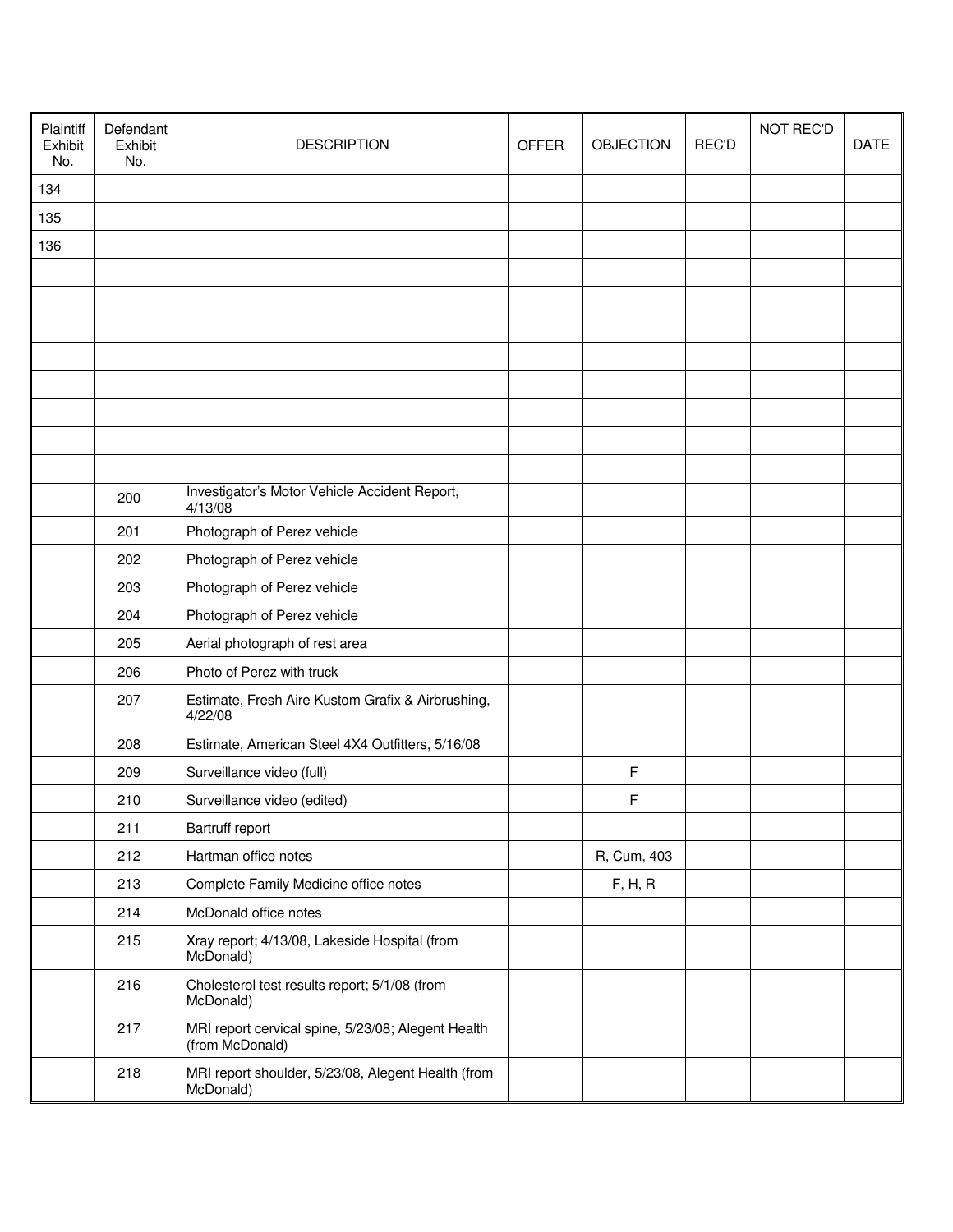| Plaintiff<br>Exhibit<br>No. | Defendant<br>Exhibit<br>No. | <b>DESCRIPTION</b>                                                    | <b>OFFER</b> | <b>OBJECTION</b> | <b>REC'D</b> | <b>NOT REC'D</b> | <b>DATE</b> |
|-----------------------------|-----------------------------|-----------------------------------------------------------------------|--------------|------------------|--------------|------------------|-------------|
| 134                         |                             |                                                                       |              |                  |              |                  |             |
| 135                         |                             |                                                                       |              |                  |              |                  |             |
| 136                         |                             |                                                                       |              |                  |              |                  |             |
|                             |                             |                                                                       |              |                  |              |                  |             |
|                             |                             |                                                                       |              |                  |              |                  |             |
|                             |                             |                                                                       |              |                  |              |                  |             |
|                             |                             |                                                                       |              |                  |              |                  |             |
|                             |                             |                                                                       |              |                  |              |                  |             |
|                             |                             |                                                                       |              |                  |              |                  |             |
|                             |                             |                                                                       |              |                  |              |                  |             |
|                             |                             |                                                                       |              |                  |              |                  |             |
|                             | 200                         | Investigator's Motor Vehicle Accident Report,<br>4/13/08              |              |                  |              |                  |             |
|                             | 201                         | Photograph of Perez vehicle                                           |              |                  |              |                  |             |
|                             | 202                         | Photograph of Perez vehicle                                           |              |                  |              |                  |             |
|                             | 203                         | Photograph of Perez vehicle                                           |              |                  |              |                  |             |
|                             | 204                         | Photograph of Perez vehicle                                           |              |                  |              |                  |             |
|                             | 205                         | Aerial photograph of rest area                                        |              |                  |              |                  |             |
|                             | 206                         | Photo of Perez with truck                                             |              |                  |              |                  |             |
|                             | 207                         | Estimate, Fresh Aire Kustom Grafix & Airbrushing,<br>4/22/08          |              |                  |              |                  |             |
|                             | 208                         | Estimate, American Steel 4X4 Outfitters, 5/16/08                      |              |                  |              |                  |             |
|                             | 209                         | Surveillance video (full)                                             |              | F                |              |                  |             |
|                             | 210                         | Surveillance video (edited)                                           |              | F                |              |                  |             |
|                             | 211                         | Bartruff report                                                       |              |                  |              |                  |             |
|                             | 212                         | Hartman office notes                                                  |              | R, Cum, 403      |              |                  |             |
|                             | 213                         | Complete Family Medicine office notes                                 |              | F, H, R          |              |                  |             |
|                             | 214                         | McDonald office notes                                                 |              |                  |              |                  |             |
|                             | 215                         | Xray report; 4/13/08, Lakeside Hospital (from<br>McDonald)            |              |                  |              |                  |             |
|                             | 216                         | Cholesterol test results report; 5/1/08 (from<br>McDonald)            |              |                  |              |                  |             |
|                             | 217                         | MRI report cervical spine, 5/23/08; Alegent Health<br>(from McDonald) |              |                  |              |                  |             |
|                             | 218                         | MRI report shoulder, 5/23/08, Alegent Health (from<br>McDonald)       |              |                  |              |                  |             |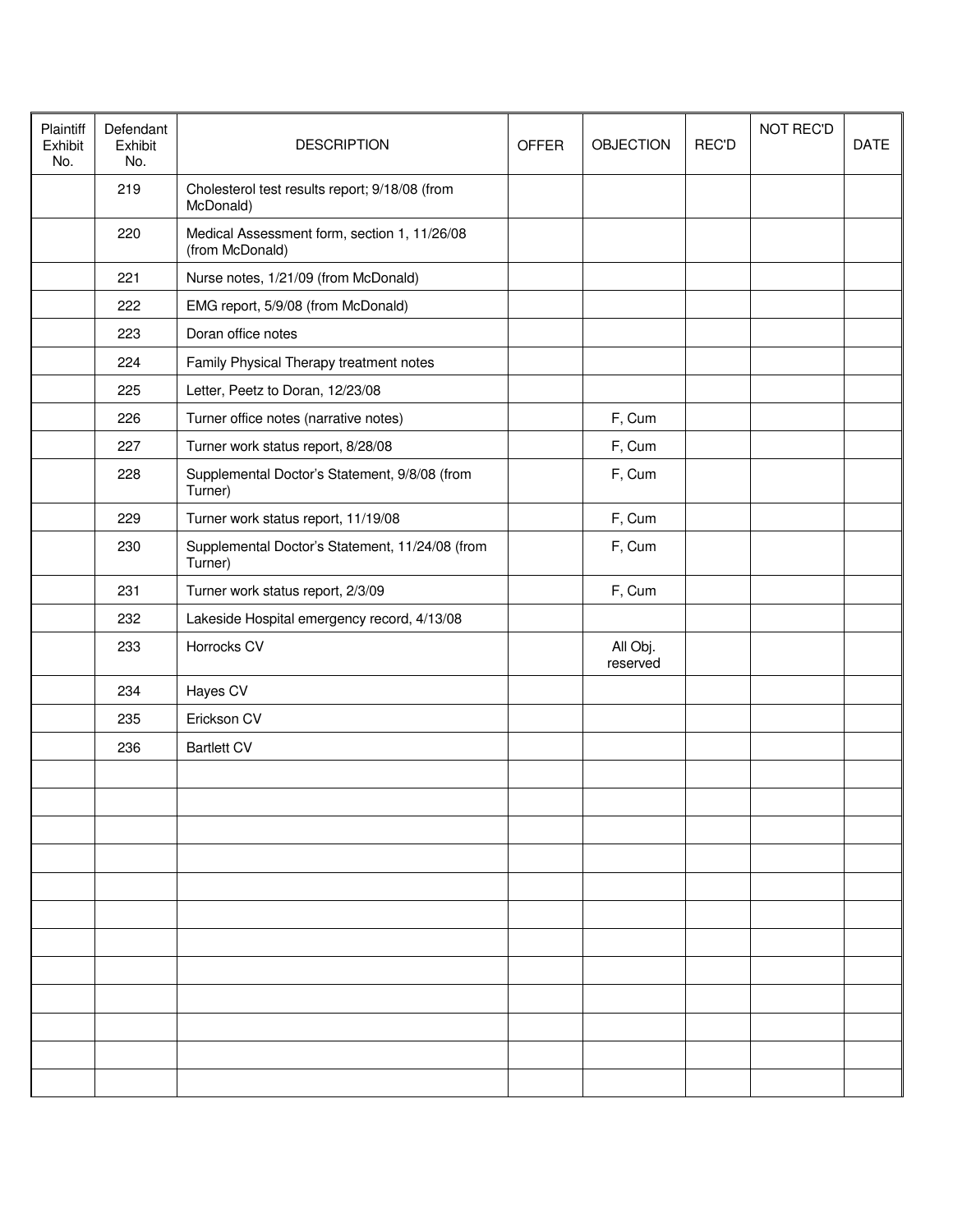| Plaintiff<br>Exhibit<br>No. | Defendant<br>Exhibit<br>No. | <b>DESCRIPTION</b>                                              | <b>OFFER</b> | <b>OBJECTION</b>     | REC'D | <b>NOT REC'D</b> | DATE |
|-----------------------------|-----------------------------|-----------------------------------------------------------------|--------------|----------------------|-------|------------------|------|
|                             | 219                         | Cholesterol test results report; 9/18/08 (from<br>McDonald)     |              |                      |       |                  |      |
|                             | 220                         | Medical Assessment form, section 1, 11/26/08<br>(from McDonald) |              |                      |       |                  |      |
|                             | 221                         | Nurse notes, 1/21/09 (from McDonald)                            |              |                      |       |                  |      |
|                             | 222                         | EMG report, 5/9/08 (from McDonald)                              |              |                      |       |                  |      |
|                             | 223                         | Doran office notes                                              |              |                      |       |                  |      |
|                             | 224                         | Family Physical Therapy treatment notes                         |              |                      |       |                  |      |
|                             | 225                         | Letter, Peetz to Doran, 12/23/08                                |              |                      |       |                  |      |
|                             | 226                         | Turner office notes (narrative notes)                           |              | F, Cum               |       |                  |      |
|                             | 227                         | Turner work status report, 8/28/08                              |              | F, Cum               |       |                  |      |
|                             | 228                         | Supplemental Doctor's Statement, 9/8/08 (from<br>Turner)        |              | F, Cum               |       |                  |      |
|                             | 229                         | Turner work status report, 11/19/08                             |              | F, Cum               |       |                  |      |
|                             | 230                         | Supplemental Doctor's Statement, 11/24/08 (from<br>Turner)      |              | F, Cum               |       |                  |      |
|                             | 231                         | Turner work status report, 2/3/09                               |              | F, Cum               |       |                  |      |
|                             | 232                         | Lakeside Hospital emergency record, 4/13/08                     |              |                      |       |                  |      |
|                             | 233                         | Horrocks CV                                                     |              | All Obj.<br>reserved |       |                  |      |
|                             | 234                         | Hayes CV                                                        |              |                      |       |                  |      |
|                             | 235                         | Erickson CV                                                     |              |                      |       |                  |      |
|                             | 236                         | <b>Bartlett CV</b>                                              |              |                      |       |                  |      |
|                             |                             |                                                                 |              |                      |       |                  |      |
|                             |                             |                                                                 |              |                      |       |                  |      |
|                             |                             |                                                                 |              |                      |       |                  |      |
|                             |                             |                                                                 |              |                      |       |                  |      |
|                             |                             |                                                                 |              |                      |       |                  |      |
|                             |                             |                                                                 |              |                      |       |                  |      |
|                             |                             |                                                                 |              |                      |       |                  |      |
|                             |                             |                                                                 |              |                      |       |                  |      |
|                             |                             |                                                                 |              |                      |       |                  |      |
|                             |                             |                                                                 |              |                      |       |                  |      |
|                             |                             |                                                                 |              |                      |       |                  |      |
|                             |                             |                                                                 |              |                      |       |                  |      |